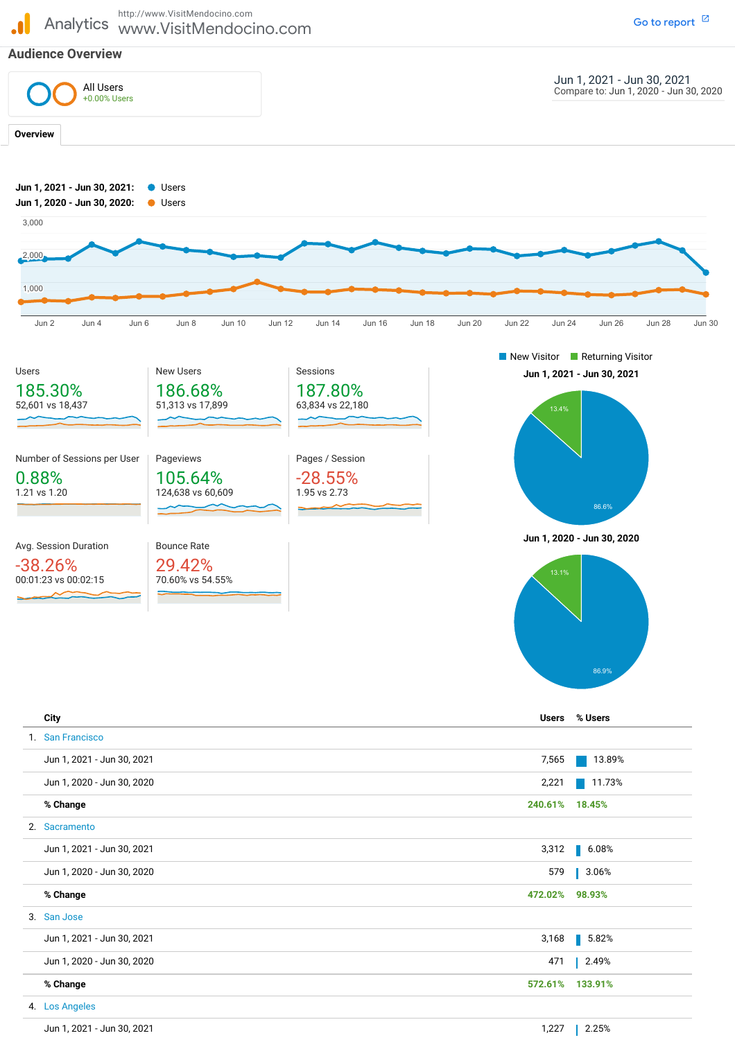Analytics www.VisitMendocino.com http://www.VisitMendocino.com

## **Audience Overview**